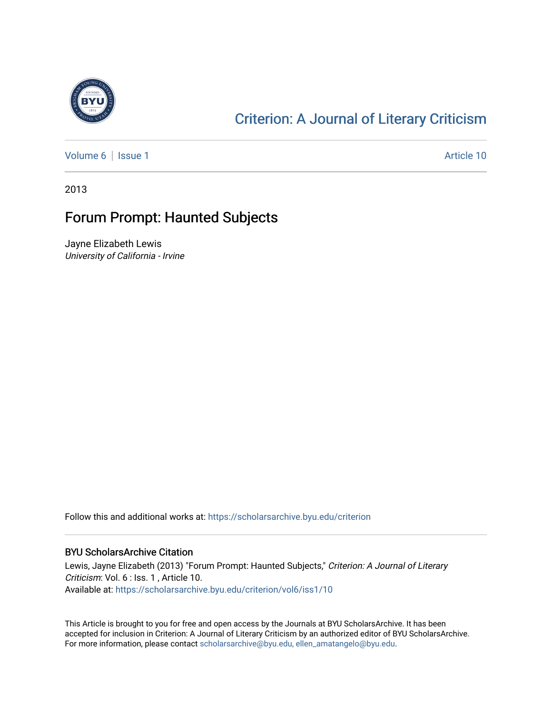

## [Criterion: A Journal of Literary Criticism](https://scholarsarchive.byu.edu/criterion)

[Volume 6](https://scholarsarchive.byu.edu/criterion/vol6) | [Issue 1](https://scholarsarchive.byu.edu/criterion/vol6/iss1) Article 10

2013

## Forum Prompt: Haunted Subjects

Jayne Elizabeth Lewis University of California - Irvine

Follow this and additional works at: [https://scholarsarchive.byu.edu/criterion](https://scholarsarchive.byu.edu/criterion?utm_source=scholarsarchive.byu.edu%2Fcriterion%2Fvol6%2Fiss1%2F10&utm_medium=PDF&utm_campaign=PDFCoverPages) 

## BYU ScholarsArchive Citation

Lewis, Jayne Elizabeth (2013) "Forum Prompt: Haunted Subjects," Criterion: A Journal of Literary Criticism: Vol. 6 : Iss. 1 , Article 10. Available at: [https://scholarsarchive.byu.edu/criterion/vol6/iss1/10](https://scholarsarchive.byu.edu/criterion/vol6/iss1/10?utm_source=scholarsarchive.byu.edu%2Fcriterion%2Fvol6%2Fiss1%2F10&utm_medium=PDF&utm_campaign=PDFCoverPages)

This Article is brought to you for free and open access by the Journals at BYU ScholarsArchive. It has been accepted for inclusion in Criterion: A Journal of Literary Criticism by an authorized editor of BYU ScholarsArchive. For more information, please contact [scholarsarchive@byu.edu, ellen\\_amatangelo@byu.edu](mailto:scholarsarchive@byu.edu,%20ellen_amatangelo@byu.edu).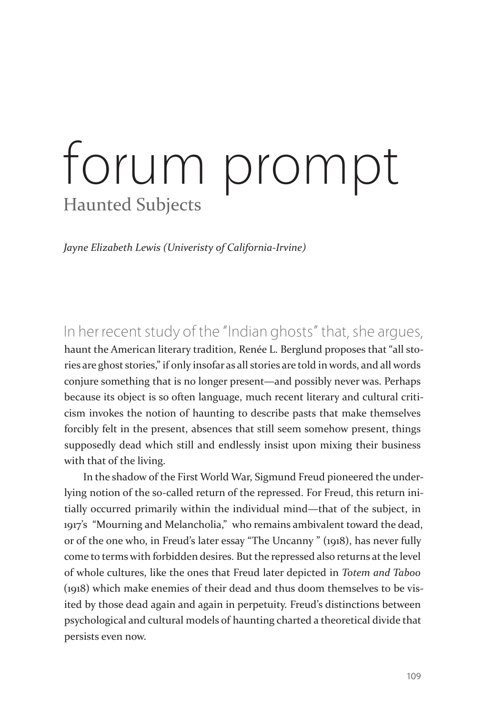## forum prompt Haunted Subjects

*Jayne Elizabeth Lewis (Univeristy of California-Irvine)*

In her recent study of the "Indian ghosts" that, she argues, haunt the American literary tradition, Renée L. Berglund proposes that "all stories are ghost stories," if only insofar as all stories are told in words, and all words conjure something that is no longer present—and possibly never was. Perhaps because its object is so often language, much recent literary and cultural criticism invokes the notion of haunting to describe pasts that make themselves forcibly felt in the present, absences that still seem somehow present, things supposedly dead which still and endlessly insist upon mixing their business with that of the living.

In the shadow of the First World War, Sigmund Freud pioneered the underlying notion of the so-called return of the repressed. For Freud, this return initially occurred primarily within the individual mind—that of the subject, in 1917's "Mourning and Melancholia," who remains ambivalent toward the dead, or of the one who, in Freud's later essay "The Uncanny " (1918), has never fully come to terms with forbidden desires. But the repressed also returns at the level of whole cultures, like the ones that Freud later depicted in *Totem and Taboo*  (1918) which make enemies of their dead and thus doom themselves to be visited by those dead again and again in perpetuity. Freud's distinctions between psychological and cultural models of haunting charted a theoretical divide that persists even now.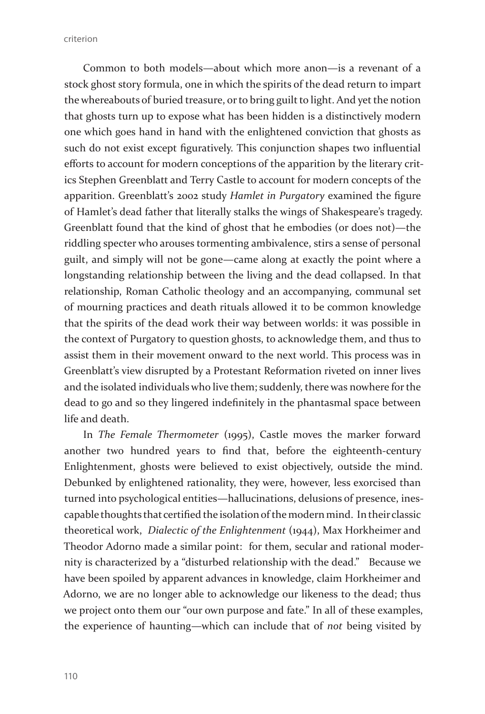criterion

Common to both models—about which more anon—is a revenant of a stock ghost story formula, one in which the spirits of the dead return to impart the whereabouts of buried treasure, or to bring guilt to light. And yet the notion that ghosts turn up to expose what has been hidden is a distinctively modern one which goes hand in hand with the enlightened conviction that ghosts as such do not exist except figuratively. This conjunction shapes two influential efforts to account for modern conceptions of the apparition by the literary critics Stephen Greenblatt and Terry Castle to account for modern concepts of the apparition. Greenblatt's 2002 study *Hamlet in Purgatory* examined the figure of Hamlet's dead father that literally stalks the wings of Shakespeare's tragedy. Greenblatt found that the kind of ghost that he embodies (or does not)—the riddling specter who arouses tormenting ambivalence, stirs a sense of personal guilt, and simply will not be gone—came along at exactly the point where a longstanding relationship between the living and the dead collapsed. In that relationship, Roman Catholic theology and an accompanying, communal set of mourning practices and death rituals allowed it to be common knowledge that the spirits of the dead work their way between worlds: it was possible in the context of Purgatory to question ghosts, to acknowledge them, and thus to assist them in their movement onward to the next world. This process was in Greenblatt's view disrupted by a Protestant Reformation riveted on inner lives and the isolated individuals who live them; suddenly, there was nowhere for the dead to go and so they lingered indefinitely in the phantasmal space between life and death.

In *The Female Thermometer* (1995), Castle moves the marker forward another two hundred years to find that, before the eighteenth-century Enlightenment, ghosts were believed to exist objectively, outside the mind. Debunked by enlightened rationality, they were, however, less exorcised than turned into psychological entities—hallucinations, delusions of presence, inescapable thoughts that certified the isolation of the modern mind. In their classic theoretical work, *Dialectic of the Enlightenment* (1944), Max Horkheimer and Theodor Adorno made a similar point: for them, secular and rational modernity is characterized by a "disturbed relationship with the dead." Because we have been spoiled by apparent advances in knowledge, claim Horkheimer and Adorno, we are no longer able to acknowledge our likeness to the dead; thus we project onto them our "our own purpose and fate." In all of these examples, the experience of haunting—which can include that of *not* being visited by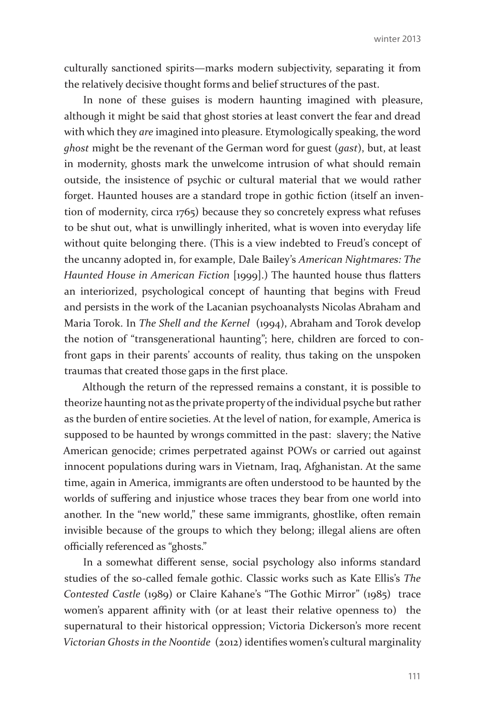culturally sanctioned spirits—marks modern subjectivity, separating it from the relatively decisive thought forms and belief structures of the past.

In none of these guises is modern haunting imagined with pleasure, although it might be said that ghost stories at least convert the fear and dread with which they *are* imagined into pleasure. Etymologically speaking, the word *ghost* might be the revenant of the German word for guest (*gast*), but, at least in modernity, ghosts mark the unwelcome intrusion of what should remain outside, the insistence of psychic or cultural material that we would rather forget. Haunted houses are a standard trope in gothic fiction (itself an invention of modernity, circa 1765) because they so concretely express what refuses to be shut out, what is unwillingly inherited, what is woven into everyday life without quite belonging there. (This is a view indebted to Freud's concept of the uncanny adopted in, for example, Dale Bailey's *American Nightmares: The Haunted House in American Fiction* [1999].) The haunted house thus flatters an interiorized, psychological concept of haunting that begins with Freud and persists in the work of the Lacanian psychoanalysts Nicolas Abraham and Maria Torok. In *The Shell and the Kernel* (1994), Abraham and Torok develop the notion of "transgenerational haunting"; here, children are forced to confront gaps in their parents' accounts of reality, thus taking on the unspoken traumas that created those gaps in the first place.

Although the return of the repressed remains a constant, it is possible to theorize haunting not as the private property of the individual psyche but rather as the burden of entire societies. At the level of nation, for example, America is supposed to be haunted by wrongs committed in the past: slavery; the Native American genocide; crimes perpetrated against POWs or carried out against innocent populations during wars in Vietnam, Iraq, Afghanistan. At the same time, again in America, immigrants are often understood to be haunted by the worlds of suffering and injustice whose traces they bear from one world into another. In the "new world," these same immigrants, ghostlike, often remain invisible because of the groups to which they belong; illegal aliens are often officially referenced as "ghosts."

In a somewhat different sense, social psychology also informs standard studies of the so-called female gothic. Classic works such as Kate Ellis's *The Contested Castle* (1989) or Claire Kahane's "The Gothic Mirror" (1985) trace women's apparent affinity with (or at least their relative openness to) the supernatural to their historical oppression; Victoria Dickerson's more recent *Victorian Ghosts in the Noontide* (2012) identifies women's cultural marginality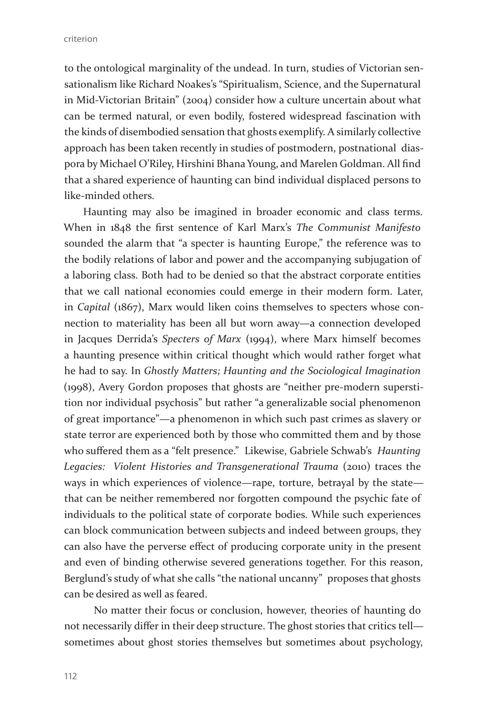criterion

to the ontological marginality of the undead. In turn, studies of Victorian sensationalism like Richard Noakes's "Spiritualism, Science, and the Supernatural in Mid-Victorian Britain" (2004) consider how a culture uncertain about what can be termed natural, or even bodily, fostered widespread fascination with the kinds of disembodied sensation that ghosts exemplify. A similarly collective approach has been taken recently in studies of postmodern, postnational diaspora by Michael O'Riley, Hirshini Bhana Young, and Marelen Goldman. All find that a shared experience of haunting can bind individual displaced persons to like-minded others.

Haunting may also be imagined in broader economic and class terms. When in 1848 the first sentence of Karl Marx's *The Communist Manifesto* sounded the alarm that "a specter is haunting Europe," the reference was to the bodily relations of labor and power and the accompanying subjugation of a laboring class. Both had to be denied so that the abstract corporate entities that we call national economies could emerge in their modern form. Later, in *Capital* (1867), Marx would liken coins themselves to specters whose connection to materiality has been all but worn away—a connection developed in Jacques Derrida's *Specters of Marx* (1994), where Marx himself becomes a haunting presence within critical thought which would rather forget what he had to say. In *Ghostly Matters; Haunting and the Sociological Imagination*  (1998), Avery Gordon proposes that ghosts are "neither pre-modern superstition nor individual psychosis" but rather "a generalizable social phenomenon of great importance"—a phenomenon in which such past crimes as slavery or state terror are experienced both by those who committed them and by those who suffered them as a "felt presence." Likewise, Gabriele Schwab's *Haunting Legacies: Violent Histories and Transgenerational Trauma* (2010) traces the ways in which experiences of violence—rape, torture, betrayal by the state that can be neither remembered nor forgotten compound the psychic fate of individuals to the political state of corporate bodies. While such experiences can block communication between subjects and indeed between groups, they can also have the perverse effect of producing corporate unity in the present and even of binding otherwise severed generations together. For this reason, Berglund's study of what she calls "the national uncanny" proposes that ghosts can be desired as well as feared.

 No matter their focus or conclusion, however, theories of haunting do not necessarily differ in their deep structure. The ghost stories that critics tell sometimes about ghost stories themselves but sometimes about psychology,